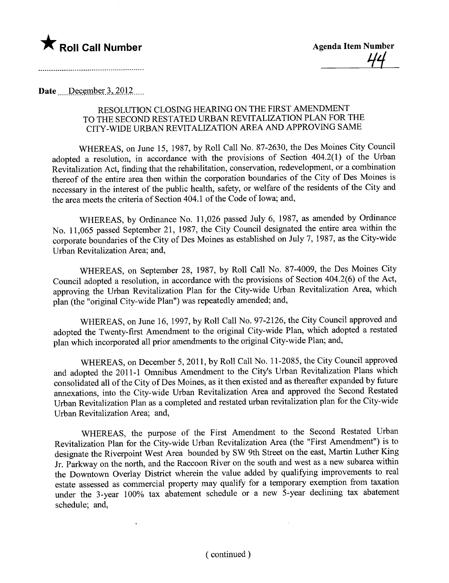

Date December  $3, 2012$ ....

## RESOLUTION CLOSING HEARING ON THE FIRST AMENDMENT TO THE SECOND RESTATED URBAN REVITALIZATION PLAN FOR THE CITY-WIDE URBAN REVITALIZATION AREA AND APPROVING SAME

WHEREAS, on June 15, 1987, by Roll Call No. 87-2630, the Des Moines City Council adopted a resolution, in accordance with the provisions of Section 404.2(1) of the Urban Revitalization Act, finding that the rehabilitation, conservation, redevelopment, or a combination thereof of the entire area then within the corporation boundaries of the City of Des Moines is necessary in the interest of the public health, safety, or welfare of the residents of the City and the area meets the criteria of Section 404.1 of the Code of Iowa; and,

WHEREAS, by Ordinance No. 11,026 passed July 6, 1987, as amended by Ordinance No. 11,065 passed September 21, 1987, the City Council designated the entire area within the corporate boundaries of the City of Des Moines as established on July 7, 1987, as the City-wide Urban Revitalization Area; and,

WHEREAS, on September 28, 1987, by Roll Call No. 87-4009, the Des Moines City Council adopted a resolution, in accordance with the provisions of Section 404.2(6) of the Act, approving the Urban Revitalization Plan for the City-wide Urban Revitalization Area, which plan (the "original City-wide Plan") was repeatedly amended; and,

WHEREAS, on June 16, 1997, by Roll Call No. 97-2126, the City Council approved and adopted the Twenty-first Amendment to the original City-wide Plan, which adopted a restated plan which incorporated all prior amendments to the original City-wide Plan; and,

WHEREAS, on December 5,2011, by Roll Call No. 11-2085, the City Council approved and adopted the 2011-1 Omnibus Amendment to the City's Urban Revitalization Plans which consolidated all of the City of Des Moines, as it then existed and as thereafter expanded by future annexations, into the City-wide Urban Revitalization Area and approved the Second Restated Urban Revitalization Plan as a completed and restated urban revitalization plan for the City-wide Urban Revitalization Area; and,

WHEREAS, the purpose of the First Amendment to the Second Restated Urban Revitalization Plan for the City-wide Urban Revitalization Area (the "First Amendment") is to designate the Riverpoint West Area bounded by SW 9th Street on the east, Martin Luther King Jr. Parkway on the north, and the Raccoon River on the south and west as a new subarea within the Downtown Overlay District wherein the value added by qualifying improvements to real estate assessed as commercial property may qualify for a temporary exemption from taxation under the 3-year 100% tax abatement schedule or a new 5-year declining tax abatement schedule; and,